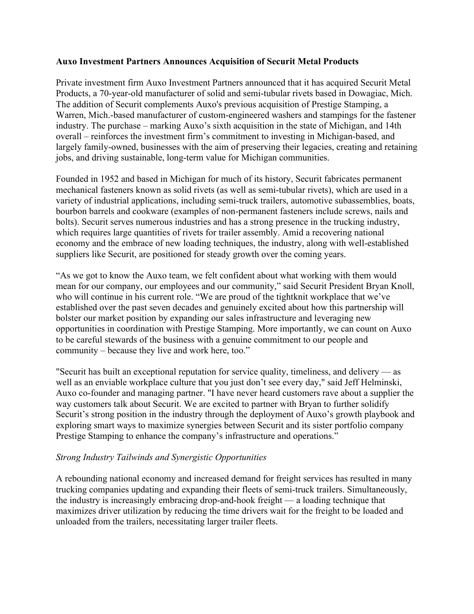## **Auxo Investment Partners Announces Acquisition of Securit Metal Products**

Private investment firm Auxo Investment Partners announced that it has acquired Securit Metal Products, a 70-year-old manufacturer of solid and semi-tubular rivets based in Dowagiac, Mich. The addition of Securit complements Auxo's previous acquisition of Prestige Stamping, a Warren, Mich.-based manufacturer of custom-engineered washers and stampings for the fastener industry. The purchase – marking Auxo's sixth acquisition in the state of Michigan, and 14th overall – reinforces the investment firm's commitment to investing in Michigan-based, and largely family-owned, businesses with the aim of preserving their legacies, creating and retaining jobs, and driving sustainable, long-term value for Michigan communities.

Founded in 1952 and based in Michigan for much of its history, Securit fabricates permanent mechanical fasteners known as solid rivets (as well as semi-tubular rivets), which are used in a variety of industrial applications, including semi-truck trailers, automotive subassemblies, boats, bourbon barrels and cookware (examples of non-permanent fasteners include screws, nails and bolts). Securit serves numerous industries and has a strong presence in the trucking industry, which requires large quantities of rivets for trailer assembly. Amid a recovering national economy and the embrace of new loading techniques, the industry, along with well-established suppliers like Securit, are positioned for steady growth over the coming years.

"As we got to know the Auxo team, we felt confident about what working with them would mean for our company, our employees and our community," said Securit President Bryan Knoll, who will continue in his current role. "We are proud of the tightknit workplace that we've established over the past seven decades and genuinely excited about how this partnership will bolster our market position by expanding our sales infrastructure and leveraging new opportunities in coordination with Prestige Stamping. More importantly, we can count on Auxo to be careful stewards of the business with a genuine commitment to our people and community – because they live and work here, too."

"Securit has built an exceptional reputation for service quality, timeliness, and delivery — as well as an enviable workplace culture that you just don't see every day," said Jeff Helminski, Auxo co-founder and managing partner. "I have never heard customers rave about a supplier the way customers talk about Securit. We are excited to partner with Bryan to further solidify Securit's strong position in the industry through the deployment of Auxo's growth playbook and exploring smart ways to maximize synergies between Securit and its sister portfolio company Prestige Stamping to enhance the company's infrastructure and operations."

## *Strong Industry Tailwinds and Synergistic Opportunities*

A rebounding national economy and increased demand for freight services has resulted in many trucking companies updating and expanding their fleets of semi-truck trailers. Simultaneously, the industry is increasingly embracing drop-and-hook freight  $-$  a loading technique that maximizes driver utilization by reducing the time drivers wait for the freight to be loaded and unloaded from the trailers, necessitating larger trailer fleets.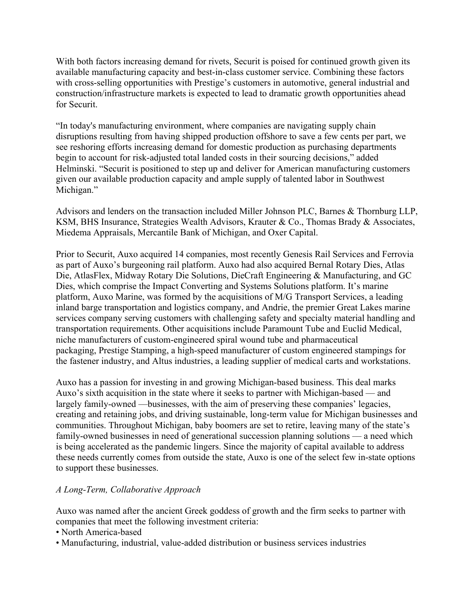With both factors increasing demand for rivets, Securit is poised for continued growth given its available manufacturing capacity and best-in-class customer service. Combining these factors with cross-selling opportunities with Prestige's customers in automotive, general industrial and construction/infrastructure markets is expected to lead to dramatic growth opportunities ahead for Securit.

"In today's manufacturing environment, where companies are navigating supply chain disruptions resulting from having shipped production offshore to save a few cents per part, we see reshoring efforts increasing demand for domestic production as purchasing departments begin to account for risk-adjusted total landed costs in their sourcing decisions," added Helminski. "Securit is positioned to step up and deliver for American manufacturing customers given our available production capacity and ample supply of talented labor in Southwest Michigan."

Advisors and lenders on the transaction included Miller Johnson PLC, Barnes & Thornburg LLP, KSM, BHS Insurance, Strategies Wealth Advisors, Krauter & Co., Thomas Brady & Associates, Miedema Appraisals, Mercantile Bank of Michigan, and Oxer Capital.

Prior to Securit, Auxo acquired 14 companies, most recently Genesis Rail Services and Ferrovia as part of Auxo's burgeoning rail platform. Auxo had also acquired Bernal Rotary Dies, Atlas Die, AtlasFlex, Midway Rotary Die Solutions, DieCraft Engineering & Manufacturing, and GC Dies, which comprise the Impact Converting and Systems Solutions platform. It's marine platform, Auxo Marine, was formed by the acquisitions of M/G Transport Services, a leading inland barge transportation and logistics company, and Andrie, the premier Great Lakes marine services company serving customers with challenging safety and specialty material handling and transportation requirements. Other acquisitions include Paramount Tube and Euclid Medical, niche manufacturers of custom-engineered spiral wound tube and pharmaceutical packaging, Prestige Stamping, a high-speed manufacturer of custom engineered stampings for the fastener industry, and Altus industries, a leading supplier of medical carts and workstations.

Auxo has a passion for investing in and growing Michigan-based business. This deal marks Auxo's sixth acquisition in the state where it seeks to partner with Michigan-based — and largely family-owned —businesses, with the aim of preserving these companies' legacies, creating and retaining jobs, and driving sustainable, long-term value for Michigan businesses and communities. Throughout Michigan, baby boomers are set to retire, leaving many of the state's family-owned businesses in need of generational succession planning solutions –– a need which is being accelerated as the pandemic lingers. Since the majority of capital available to address these needs currently comes from outside the state, Auxo is one of the select few in-state options to support these businesses.

## *A Long-Term, Collaborative Approach*

Auxo was named after the ancient Greek goddess of growth and the firm seeks to partner with companies that meet the following investment criteria:

- North America-based
- Manufacturing, industrial, value-added distribution or business services industries